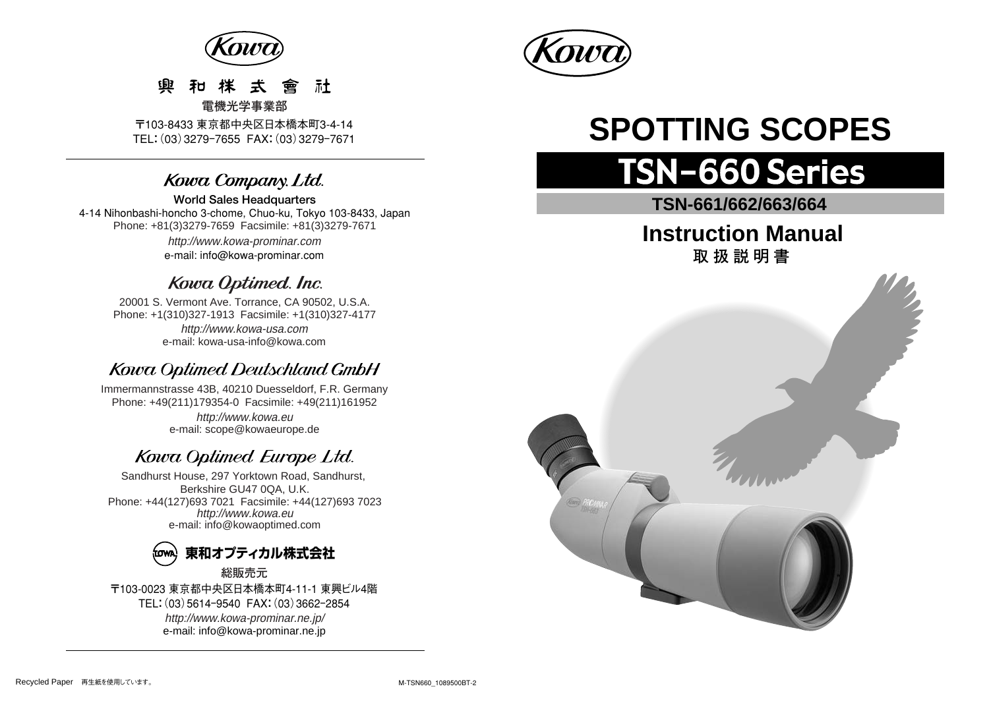

#### 社 靊  $\pm$ 會

〒103-8433 東京都中央区日本橋本町3-4-14 TEL:(03)3279ー7655 FAX:(03)3279ー7671

## Kowa Company. Ltd.

**World Sales Headquarters**  4-14 Nihonbashi-honcho 3-chome, Chuo-ku, Tokyo 103-8433, Japan Phone: +81(3)3279-7659 Facsimile: +81(3)3279-7671

> http://www.kowa-prominar.com e-mail: info@kowa-prominar.com

## Kowa Optimed. Inc.

20001 S. Vermont Ave. Torrance, CA 90502, U.S.A. Phone: +1(310)327-1913 Facsimile: +1(310)327-4177 e-mail: kowa-usa-info@kowa.com http://www.kowa-usa.com

## Kowa Optimed Deutschland GmbH

http://www.kowa.eu e-mail: scope@kowaeurope.de Immermannstrasse 43B, 40210 Duesseldorf, F.R. Germany Phone: +49(211)179354-0 Facsimile: +49(211)161952

## Kowa Optimed Europe Ltd.

Sandhurst House, 297 Yorktown Road, Sandhurst, Berkshire GU47 0QA, U.K. Phone: +44(127)693 7021 Facsimile: +44(127)693 7023 http://www.kowa.eu e-mail: info@kowaoptimed.com



〒103-0023 東京都中央区日本橋本町4-11-1 東興ビル4階 TEL:(03)5614ー9540 FAX:(03)3662ー2854 http://www.kowa-prominar.ne.jp/ e-mail: info@kowa-prominar.ne.jp



# **SPOTTING SCOPES**

## **TSN-660 Series**

**TSN-661/662/663/664** 

## **Instruction Manual 取扱説明書**



**電機光学事業部**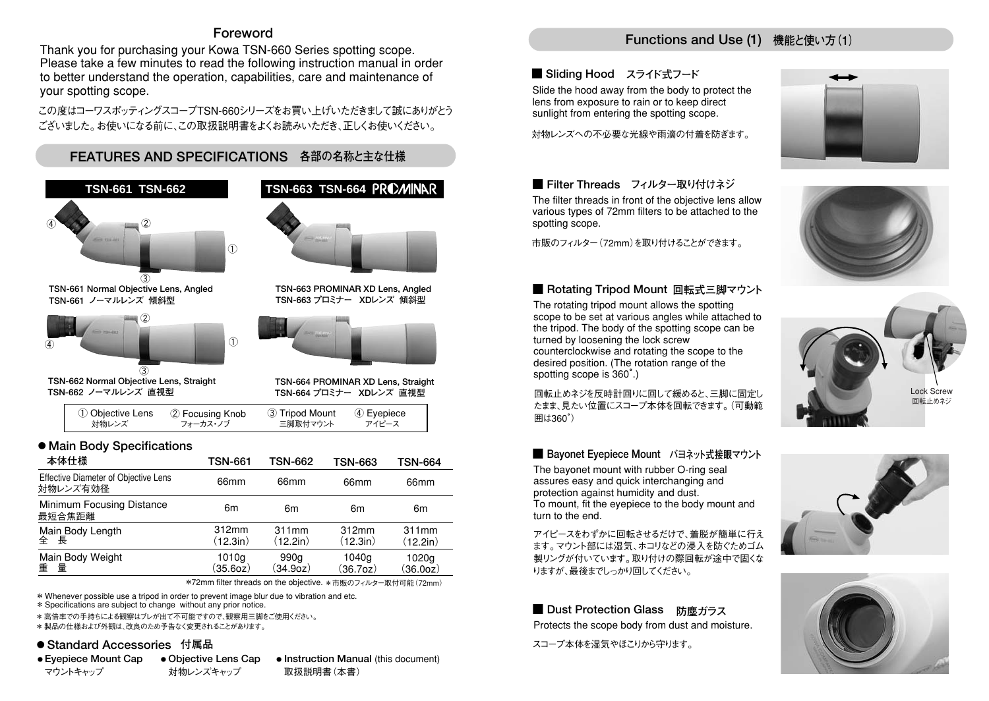#### **Foreword**

Thank you for purchasing your Kowa TSN-660 Series spotting scope. Please take a few minutes to read the following instruction manual in order to better understand the operation, capabilities, care and maintenance of your spotting scope.

この度はコーワスポッティングスコープTSN-660シリーズをお買い上げいただきまして誠にありがとう ございました。お使いになる前に、この取扱説明書をよくお読みいただき、正しくお使いください。



| Minimum Focusing Distance<br>最短合焦距離 | 6m       | 6m       | 6m                    | 6m       |
|-------------------------------------|----------|----------|-----------------------|----------|
| Main Body Length                    | 312mm    | 311mm    | 312mm                 | 311mm    |
| 全長                                  | (12.3in) | (12.2in) | (12.3in)              | (12.2in) |
| Main Body Weight                    | 1010g    | 990a     | 1040g                 | 1020g    |
| 重量                                  | (35.60z) | (34.9oz) | (36.7 <sub>oz</sub> ) | (36.00z) |

\*72mm filter threads on the objective. \*市販のフィルター取付可能 (72mm)

\* Whenever possible use a tripod in order to prevent image blur due to vibration and etc.

対物レンズキャップ

\* Specifications are subject to change without any prior notice.

\* 高倍率での手持ちによる観察はブレが出て不可能ですので、観察用三脚をご使用ください。

\* 製品の仕様および外観は、改良のため予告なく変更されることがあります。

#### **● Standard Accessories 付属品**

● Eyepiece Mount Cap ● Objective Lens Cap ● マウントキャップ

**• Instruction Manual (this document)** 取扱説明書(本書)

## **Functions and Use (1) 機能と使い方(1)**

#### **■ Sliding Hood スライド式フード**

Slide the hood away from the body to protect the lens from exposure to rain or to keep direct sunlight from entering the spotting scope.

対物レンズへの不必要な光線や雨滴の付着を防ぎます。

#### **■ Filter Threads フィルター取り付けネジ**

The filter threads in front of the objective lens allow various types of 72mm filters to be attached to the spotting scope.

市販のフィルター(72mm)を取り付けることができます。

#### ■ Rotating Tripod Mount 回転式三脚マウント

The rotating tripod mount allows the spotting scope to be set at various angles while attached to the tripod. The body of the spotting scope can be turned by loosening the lock screw counterclockwise and rotating the scope to the desired position. (The rotation range of the spotting scope is 360°.)

回転止めネジを反時計回りに回して緩めると、三脚に固定し たまま、見たい位置にスコープ本体を回転できます。(可動範 囲は360°)

#### **■ Bayonet Eyepiece Mount** バヨネット式接眼マウント

The bayonet mount with rubber O-ring seal assures easy and quick interchanging and protection against humidity and dust. To mount, fit the eyepiece to the body mount and turn to the end.

アイピースをわずかに回転させるだけで、着脱が簡単に行え ます。マウント部には湿気、ホコリなどの浸入を防ぐためゴム 製リングが付いています。取り付けの際回転が途中で固くな りますが、最後までしっかり回してください。

#### ■ Dust Protection Glass 防塵ガラス

Protects the scope body from dust and moisture.

スコープ本体を湿気やほこりから守ります。









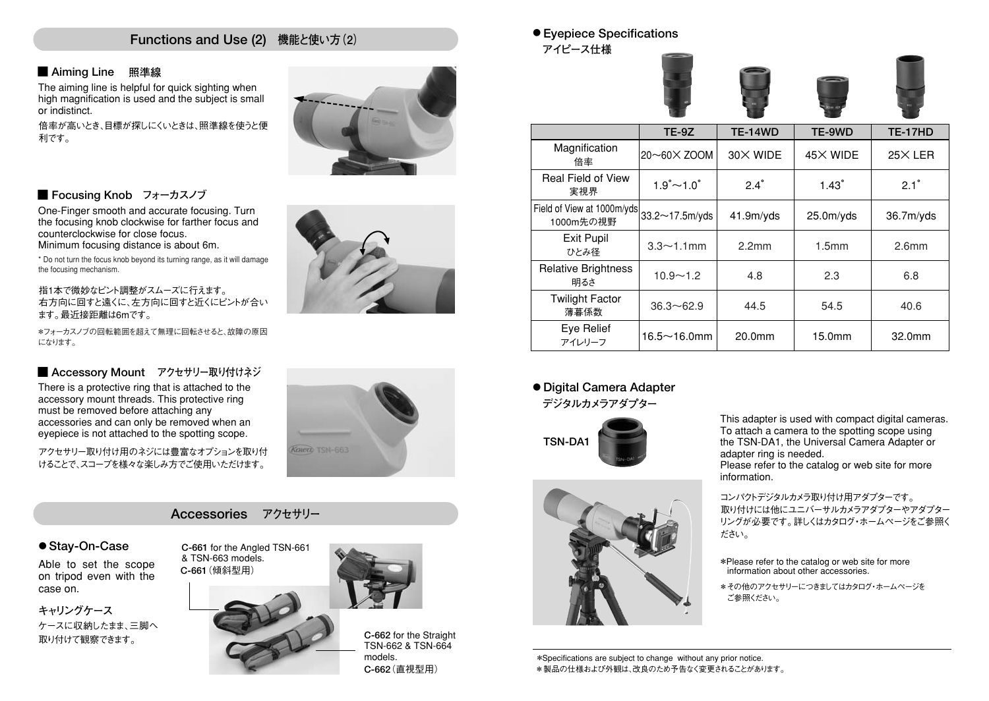#### **Functions and Use (2) 機能と使い方(2)**

#### **■ Aiming Line 照準線**

The aiming line is helpful for quick sighting when high magnification is used and the subject is small or indistinct.

倍率が高いとき、目標が探しにくいときは、照準線を使うと便 利です。



#### **■ Focusing Knob フォーカスノブ**

One-Finger smooth and accurate focusing. Turn the focusing knob clockwise for farther focus and counterclockwise for close focus. Minimum focusing distance is about 6m.

\* Do not turn the focus knob beyond its turning range, as it will damage the focusing mechanism.

指1本で微妙なピント調整がスムーズに行えます。 右方向に回すと遠くに、左方向に回すと近くにピントが合い ます。最近接距離は6mです。

\*フォーカスノブの回転範囲を超えて無理に回転させると、故障の原因 になります。

#### ■ Accessory Mount アクセサリー取り付けネジ

There is a protective ring that is attached to the accessory mount threads. This protective ring must be removed before attaching any accessories and can only be removed when an eyepiece is not attached to the spotting scope.

アクセサリー取り付け用のネジには豊富なオプションを取り付 けることで、スコープを様々な楽しみ方でご使用いただけます。

## **Accessories アクセサリー**

**● Stay-On-Case**

Able to set the scope on tripod even with the case on.

**キャリングケース**  ケースに収納したまま、三脚へ 取り付けて観察できます。



**KOIDER TSN-663** 





**● Eyepiece Specifications** 

**アイピース仕様** 





|                                         | <b>TE-9Z</b>                  | <b>TE-14WD</b> | TE-9WD                 | <b>TE-17HD</b>    |
|-----------------------------------------|-------------------------------|----------------|------------------------|-------------------|
| Magnification<br>倍率                     | 20~60X ZOOM                   | 30X WIDE       | 45X WIDE               | $25\times$ LER    |
| <b>Real Field of View</b><br>実視界        | $1.9^{\circ}$ ~ $1.0^{\circ}$ | $2.4^\circ$    | $1.43^\circ$           | $2.1^\circ$       |
| Field of View at 1000m/yds<br>1000m先の視野 | 33.2~17.5m/yds                | 41.9m/yds      | 25.0 <sub>m</sub> /yds | 36.7m/yds         |
| <b>Exit Pupil</b><br>ひとみ径               | $3.3 \sim 1.1$ mm             | 2.2mm          | 1.5 <sub>mm</sub>      | 2.6 <sub>mm</sub> |
| <b>Relative Brightness</b><br>明るさ       | $10.9 - 1.2$                  | 4.8            | 2.3                    | 6.8               |
| <b>Twilight Factor</b><br>薄暮係数          | $36.3 \sim 62.9$              | 44.5           | 54.5                   | 40.6              |
| Eye Relief<br>アイレリーフ                    | $16.5 \sim 16.0$ mm           | 20.0mm         | 15.0mm                 | 32.0mm            |

#### **デジタルカメラアダプター ● Digital Camera Adapter**





This adapter is used with compact digital cameras. To attach a camera to the spotting scope using the TSN-DA1, the Universal Camera Adapter or adapter ring is needed. Please refer to the catalog or web site for more information.

コンパクトデジタルカメラ取り付け用アダプターです。 取り付けには他にユニバーサルカメラアダプターやアダプター リングが必要です。詳しくはカタログ・ホームページをご参照く ださい。

\*Please refer to the catalog or web site for more information about other accessories.

\*その他のアクセサリーにつきましてはカタログ・ホームページを ご参照ください。

\*Specifications are subject to change without any prior notice. \*製品の仕様および外観は、改良のため予告なく変更されることがあります。